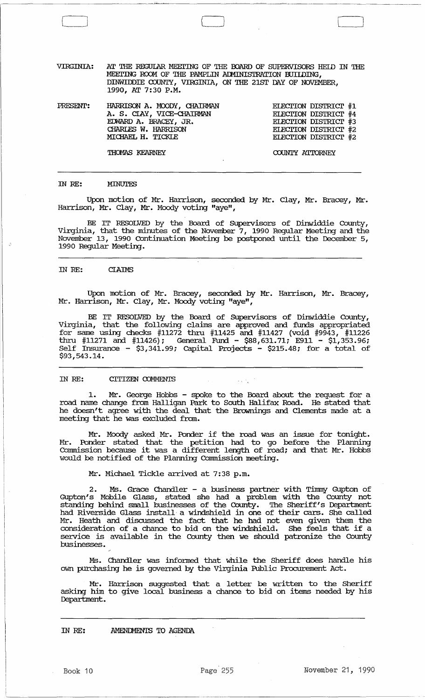VIRGINIA: AT THE REGUIAR MEEI'ING OF THE roARD OF SUPERVISORS HElD IN THE MEETING ROOM OF THE PAMPLIN ADMINISTRATION BUILDING, DINWIDDIE COUNTY, VIRGINIA, ON THE 21ST DAY OF NOVEMBER, 1990, AT 7:30 P.M.

\_\_\_\_\_\_\_\_\_\_\_\_\_\_\_\_\_\_\_\_\_\_\_\_\_\_\_\_\_\_\_\_ .~~l~ \_\_\_\_\_\_\_\_\_\_\_\_\_\_ ~~~~ \_\_ ~~~ \_\_\_\_\_\_ ~ \_\_\_\_\_\_\_\_\_\_\_\_\_\_ \_\_\_

 $\Box$ 

PRESENT: HARRISON A. MOODY, CHAIRMAN A. S. CIAY, VICE-CHAIRMAN ErlVARD A. BRACEY, JR. CHARIES W. HARRISON ELECI'ION DISTRIcr #1 ELECTION DISTRICT #4 ELECI'ION DISTRIcr #3 ELECTION DISTRICT #2<br>ELECTION DISTRICT #2 MICHAEL H. TICKIE ELECI'ION DISTRIcr #2

THOMAS KEARNEY COUNTY ATTORNEY

### IN RE: MINUTES

Upon motion of Mr. Harrison, seconded by Mr. Clay, Mr. Bracey, Mr. Harrison, Mr. Clay, Mr. Moody voting "aye",

BE IT RESOLVED by the Board of SUpervisors of Dinwiddie County, Virginia, that the minutes of the November 7, 1990 Regular Meeting and the November 13, 1990 Continuation Meeting be postponed until the December 5, 1990 Regular Meeting.

#### IN RE: **CLAIMS**

Upon motion of Mr. Bracey, seconded by Mr. Harrison, Mr. Bracey, Mr. Harrison, Mr. Clay, Mr. Moody voting "aye",

BE IT RESOLVED by the Board of SUpervisors of Dinwiddie County, Virginia, that the following claims are approved and funds appropriated for same using checks #11272 thru #11425 and #11427 (void #9943, #11226 thru #11271 and #11426); General Fund - \$88,631.71; E911 - \$1,353.96; Self Insurance - \$3,341.99; capital Projects - \$215.48; for a total of \$93,543.14.

# IN RE: CITIZEN COMMENTS

1. Mr. George Hobbs - spoke to the Board about the request for a road name change from Halligan Park to South Halifax Road. He stated that he doesn/t agree with the deal that the Brownings and Clements made at a meeting that he was excluded from.

Mr. Moody asked. Mr. Ponder if the road was an issue for tonight. Mr. Ponder stated that the petition had to go before the Planning Commission because it was a different length of road; and that Mr. Hobbs would be notified of the Planning Commission meeting.

# Mr. Michael Tickle arrived at 7:38 p.m.

2. Ms. Grace Chandler - a business partner with Timmy Gupton of Gupton's Mobile Glass, stated she had a problem with the County not standing behind small businesses of the County. The Sheriff's Department had Riverside Glass install· a windshield in one of their cars. She called Mr. Heath and discussed the fact that he had not even given them the consideration of a chance to bid on the windshield. She feels that if a service is available in the County then we should patronize the County businesses •

Ms. Chandler was informed that while the Sheriff does handle his own purchasing he is governed by the Virginia Public Procurement Act.

Mr. Harrison suggested that a letter be written to the Sheriff asking him to give local business a chance to bid on items needed by his Department.

IN RE: AMENDMENTS TO AGENDA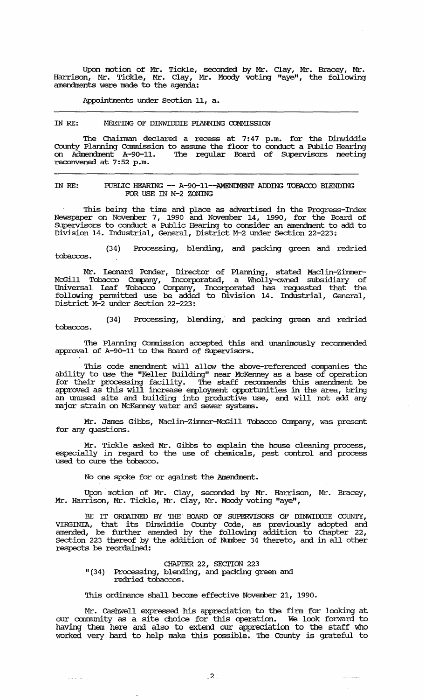Upon motion of Mr. Tickle, seconded by Mr. Clay, Mr. Bracey, Mr. Harrison, Mr. Tickle, Mr. Clay, Mr. Moody voting "aye", the following amendments were made to the agenda:

Appointments under Section 11, a.

#### IN RE: MEEI'ING OF DINWIDDIE PIANNING COMMISSION

The Chairman declared a recess at 7:47 p.m. for the Dinwiddie county Planning Commission to assume the floor to conduct a Public Hearing on Admendment A-90-11. '!he regular Board of SUpervisors meeting reconvened at 7:52 p.m.

## IN RE: PUBLIC HEARING -- A-90-11--AMENDMENT ADDING TOBACCO BLENDING FOR USE IN M-2 ZONING

This being the time and place as advertised in the Progress-Index Newspaper on November 7, 1990 and November 14, 1990, for the Board of SUpervisors to conduct a Public Hearing to consider an amendment to add to Division 14. Industrial, General, District M-2 under Section 22-223~

(34) Processing, blending, and packing green and redried tobaccos.

Mr. Leonard Ponder, Director of Planning, stated Maclin-Zimmer-McGill Tobacco Company, Incorporated, a Wholly-owned subsidiary of Universal Leaf Tobacco Company, Incorporated has requested that the following pennitted use be added to Division 14. Industrial, General, District M-2 under Section 22-223:

(34) Processing, blending,' and packing green and redried tobaccos.

'!he Planning Commission accepted this and unanimously recommended approval of A-90-11 to the Board of Supervisors.

This code amendment will allow the above-referenced companies the ability to use the "Keller Building" near McKenney as a base of operation for their processing facility. The staff recommends this amendment be approved as this will increase employment opportunities in the area, bring an unused site and building into productive use, and will not add any major strain on McKenney water and sewer systems.

Mr. James Gibbs, Maclin-Zimmer-McGill Tobacco Company, was present for any questions.

Mr. Tickle asked Mr. Gibbs to explain the house cleaning process, especially in regard to the use of chemicals, pest control and process used to cure the tobacco.

No one spoke for or against the Amendment.

Upon motion of Mr. Clay, seconded by Mr. Harrison, Mr. Bracey, Mr. Harrison, Mr. Tickle, Mr. Clay, Mr. Moody voting "aye",

BE IT ORDAINED BY THE BOARD OF SUPERVISORS OF DINWIDDIE COUNTY, VIRGINIA, that its Dinwiddie County Code, as previously adopted and amended, be further amended by the following addition to Chapter 22, Section 223 thereof by the addition of Number 34 thereto, and in all other respects be reordained:

#### CHAPTER 22, SECTION 223

"(34) Processing, blending, and packing green and redried tobaccos.

 $\omega = \omega^2 + \omega^2$  .

This ordinance shall become effective November 21, 1990.

Mr. Cashwell expressed his appreciation to the firm for looking at our cammunity as a site choice for this operation. We look forward to having them here and also to extend our appreciation to the staff who worked very hard to help make this possible. The County is grateful to

للمستدعات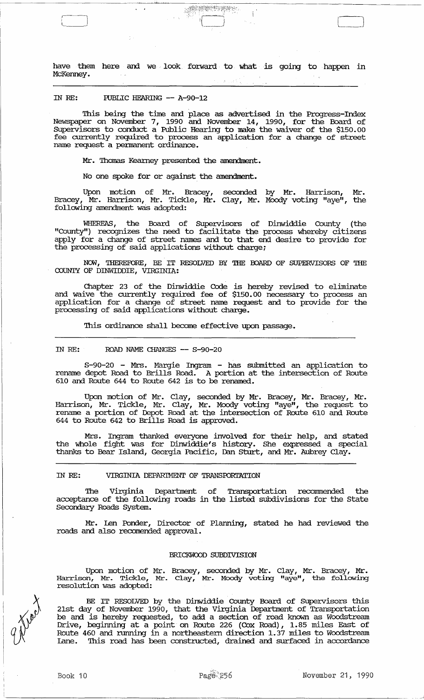have them here and we look forward to what is going to happen in McKenney.

<u> Service State</u>

 $\frac{1}{2}$ 

## IN RE: PUBLIC HEARING -- A-90-12

This being the time and place as advertised in the Progress-Index Newspaper on November 7, 1990 and November 14, 1990, for the Board of SUpervisors to conduct a Public Hearing to make the waiver of the \$150.00 fee currently required to process an application for a change of street name request a pennanent ordinance.

Mr. Thomas Kearney presented the amendment.

No one spoke for or against the amendment.

Upon motion of Mr. Bracey, seconded by Mr. Harrison, Mr. Bracey, Mr. Harrison, Mr. Tickle, Mr. Clay, Mr. Moody voting "aye", the following amendment was adopted:

WHEREAS, the Board of Supervisors of Dinwiddie County (the "County") recognizes the need to facilitate the process whereby citizens apply for a change of street names and to that end desire to provide for the processing of said applications without charge;

NOW, THEREFORE, BE IT RESOLVED BY THE roARD OF SUPERVISORS OF THE COUNTY OF DINWIDDIE, VIRGINIA:

Chapter 23 of. the Dinwiddie Code is hereby revised to eliminate and waive the currently required fee of \$150.00 necessary to process an application for a change of street name request and to provide for the processing of said applications without charge.

This ordinance shall become effective upon passage.

## IN RE: ROAD NAME CHANGES -- S-90-20

S-90-20 - Mrs. Margie Ingram - has submitted an application to rename depot Road to Brills Road. A portion at the intersection of Route 610 and Route 644 to Route 642 is to be renamed.

Upon motion of Mr. Clay, seconded by Mr. Bracey, Mr. Bracey, Mr. Harrison, Mr. Tickle, Mr. Clay, Mr. Moody voting "aye", the request to rename a portion of Depot Road at the intersection of Route 610 and Route 644 to Route 642 to Brills Road is approved.

Mrs. Ingram thanked everyone involved for their help, and stated the whole fight was for Dinwiddie's history. She expressed a special thanks to Bear Island, Geo:rgia Pacific, Dan Sturt, and Mr. Aubrey Clay.

#### IN RE: VIRGINIA DEPARIMENT OF TRANSPORTATION

The Virginia Department of Transportation recommended the acceptance of the following roads in the listed subdivisions for the state Secondary Roads System.

Mr. len Ponder, Director of Planning, stated he had reviewed the roads and also recomended approval.

#### BRICKWOOD SUBDIVISION

Upon motion of Mr. Bracey, seconded by Mr. Clay, Mr. Bracey, Mr. Harrison, Mr. Tickle, Mr. Clay, Mr. Moody voting "aye", the following resolution was adopted:

BE IT RESOLVED by the Dinwiddie County Board of Supervisors this 21st day of November 1990, that the Virginia Deparbnent of Transportation be and is hereby requested, to add a section of road known as Woodstream Drive, beginning at a point on Route 226 (Cox Road), 1.85 miles East of Route 460 and running in a northeastern direction 1.37 miles to Woodstream Lane. '!his road has been constructed, drained and surfaced in accordance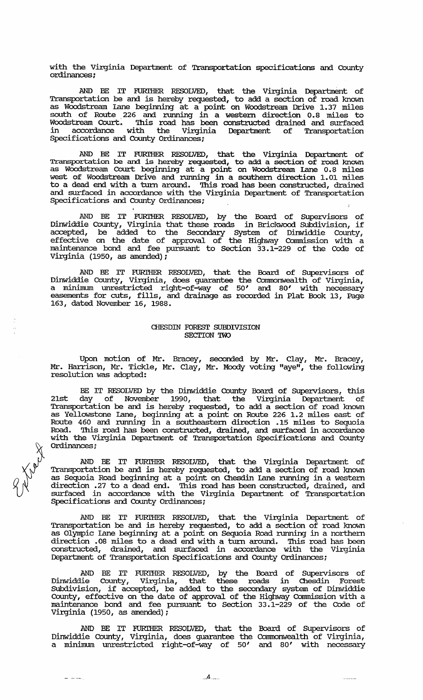with the Virginia Department of Transportation specifications and County ordinances ;

AND BE IT FURIHER RESOLVED, that the Virginia Department of Transportation be and is hereby requested, to add a section of road known as Woodstream lane beginning at a point on Woodstream Drive 1. 37 miles south of Route ,226 and rurming in a western direction 0.8 miles to Woodstream Court. '!his road has been constructed drained and surfaced in accordance with the Virginia Department of Transportation Specifications and County Ordinances;

AND BE IT FURIHER RESOLVED, that the Virginia Department of Transportation be and is hereby requested, to add a section of road known as Woodstream Court beginning at a point on Woodstream Lane 0.8 miles west of Woodstream Drive and rurming in a southern direction 1.01 miles to a dead end with a turn around. This road has been constructed, drained and surfaced in accordance with the Virginia Department of Transportation Specifications and County Ordinances;

AND BE IT FURIHER RESOLVED, by the Board of SUpervisors of Dinwiddie County, Virginia that these roads in Brickwood SUbdivision, if accepted, be added to the Secondary System of Dinwiddie County, effective on the date of approval of the Highway Commission with a maintenance bond and fee pursuant to Section 33.1-229 of the Code of Virginia (1950, as amended) *;* 

AND BE IT FURTHER RESOLVED, that the Board of Supervisors of Dinwiddie County, Virginia, does guarantee the Commonwealth of Virginia, a minimum unrestricted right-of-way of 50' and 80' with necessary easements for cuts, fills, and drainage as recorded in Plat Book 13, Page 163, dated November 16, 1988.

# CHESDIN FOREST SUBDIVISION SECTION TWO

Upon motion of Mr. Bracey, seconded by Mr. Clay, Mr. Bracey, Mr. Harrison, Mr. Tickle, Mr. Clay, Mr. Moody voting "aye", the following resolution was adopted:

BE IT RESOLVED by the Dinwiddie County Board of SUpervisors, this 21st day of November 1990, that the Virginia Department of Transportation be and is hereby requested, to add a section of road known as Yellowstone lane, beginning at a point on Route 226 1.2 miles east of Route 460 and rurming in a southeastern direction .15 miles to Sequoia Road. This road has been constructed, drained, and surfaced in accordance with the Virginia Department of Transportation Specifications and County<br>Ordinances;

AND BE IT FURIHER RESOLVED, that the Virginia Department of Transportation be and is hereby requested, to add a section of road known as Sequoia Road beginning at a point on Chesdin Lane rurming in a western direction .27 to a dead end. This road has been constructed, drained, and surfaced in accordance with the Virginia Department of Transportation Specifications and County ordinances;

AND BE IT FURIHER RESOLVED, that the Virginia Department of Transportation be and is hereby requested, to add a section of road known as Olympic Lane beginning at a point on Sequoia Road running in a northern direction .08 miles to a dead end with a turn around. This road has been constructed, drained, and surfaced in accordance with the Virginia Department of Transportation Specifications and County ordinances;

AND BE IT FURIHER RESOLVED, by the Board of SUpervisors of Dinwiddie County, Virginia, that these roads in Chesdin rorest SUbdivision, if accepted, be added to the secondary system of Dinwiddie County, effective on the date of approval of the Highway Commission with a maintenance bond and fee pursuant to Section 33.1-229 of the Code of Virginia (1950, as amended) ;

AND BE IT FURIHER RESOLVED, that the Board of SUpervisors of Dinwiddie County, Virginia, does guarantee the Commonwealth of Virginia, a minimum unrestricted right-of-way of 50' and 80' with necessary

 $\ddotsc$ 

 $\frac{1}{2} \frac{1}{2} \left( \frac{1}{2} \frac{1}{2} \frac{1}{2} \frac{1}{2} \frac{1}{2} \frac{1}{2} \frac{1}{2} \frac{1}{2} \frac{1}{2} \frac{1}{2} \frac{1}{2} \frac{1}{2} \frac{1}{2} \frac{1}{2} \frac{1}{2} \frac{1}{2} \frac{1}{2} \frac{1}{2} \frac{1}{2} \frac{1}{2} \frac{1}{2} \frac{1}{2} \frac{1}{2} \frac{1}{2} \frac{1}{2} \frac{1}{2} \frac{1}{2} \frac{1}{2} \frac{1}{2}$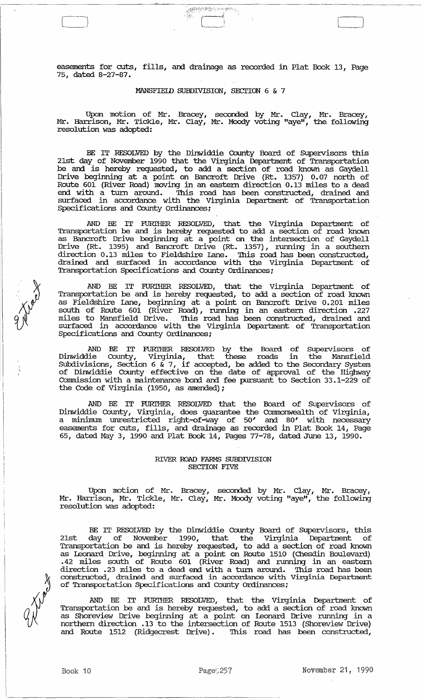easements for cuts, fills, and drainage as recorded in Plat Book 13, Page 75, dated 8-27-87.

 $\Box$ 

# MANSFIEID SUBDIVISION, SECTION 6 & 7

Upon motion of Mr. Bracey, seconded by Mr. Clay, Mr. Bracey, Mr. Harrison, Mr. Tickle, Mr. Clay, Mr. Moody voting "aye", the following resolution was adopted:

BE IT RESOLVED by the Dinwiddie County Board of SUpervisors this 21st day of November 1990 that the Virginia Department of Transportation be and is hereby requested, to add a section of road known as Gaydell Drive beginning at a point on Bancroft Drive (Rt. 1357) 0.07 north of Route 601 (River Road) moving in an eastern direction 0.13 miles to a dead end with a turn around. 'Ibis road has been constructed, drained and surfaced in accordance with the Virginia Department of Transportation Specifications and County ordinances;

AND BE IT FURI'HER RESOLVED, that the Virginia Department of Transportation be and is hereby requested to add a section of road known as Bancroft Drive beginning at a point on the intersection of Gaydell Drive (Rt. 1395) and Bancroft Drive (Rt. 1357), running in a southern direction 0.13 miles to Fieldshire Iane. This road has been constructed, drained and surfaced in accordance with the Virginia Department of Transportation Specifications and County Ordinances;

AND BE IT FURTHER RESOLVED, that the Virginia Department of Transportation be and is hereby requested, to add a section of road known as Fieldshire lane, beginning at a point on Bancroft Drive 0.201 miles south of Route 601 (River Road), running in an eastern direction .227 miles to Mansfield Drive. 'Ibis road has been constructed, drained and surfaced in accordance with the Virginia Department of Transportation Specifications and County Ordinances;

AND BE IT FURI'HER RESOLVED by the Board of supervisors of Dinwiddie County, Virginia, that these roads in the Mansfield Subdivisions, section 6 & 7, if accepted, be added to the Secondary System of Dinwiddie County effective on the date of approval of the Highway Commission with a maintenance bond and fee pursuant to Section 33.1-229 of the Code of Virginia (1950, as amended);

AND BE IT FURI'HER RESOLVED that the Board of Supervisors of Dinwiddie County, Virginia, does guarantee the Connnonwealth of Virginia, a minimum unrestricted right-of-way of 50' and 80' with necessary easements for cuts, fills, and drainage as recorded in Plat Book 14, Page 65, dated May 3, 1990 and Plat Book 14, Pages 77-78, dated June 13, 1990.

# RIVER ROAD FARMS SUBDIVISION SECTION FIVE

Upon motion of Mr. Bracey, seconded by Mr. Clay, Mr. Bracey, Mr. Harrison, Mr. Tickle, Mr. Clay, Mr. Moody voting "aye", the following resolution was adopted:

BE IT RESOLVED by the Dinwiddie County Board of SUpervisors, this 21st day of November 1990, that the Virginia Department of Transportation be and is hereby requested, to add a section of road known as leonard Drive, beginning at a point on Route 1510 (Chesdin Boulevard) .42 miles south of Route 601 (River Road) and running in an eastern direction .23 miles to a dead end with a turn around. This road has been constructed, drained and surfaced in accordance with Virginia Department of Transportation Specifications and county Ordinances;

AND BE IT FURTHER RESOLVED, that the Virginia Department of Transportation be and is hereby requested, to add a section of road known as Shoreview Drive beginning at a point on leonard Drive running in <sup>a</sup> northern direction .13 to the intersection of Route 1513 (Shoreview Drive) and Route 1512 (Ridgecrest Drive). This road has been constructed,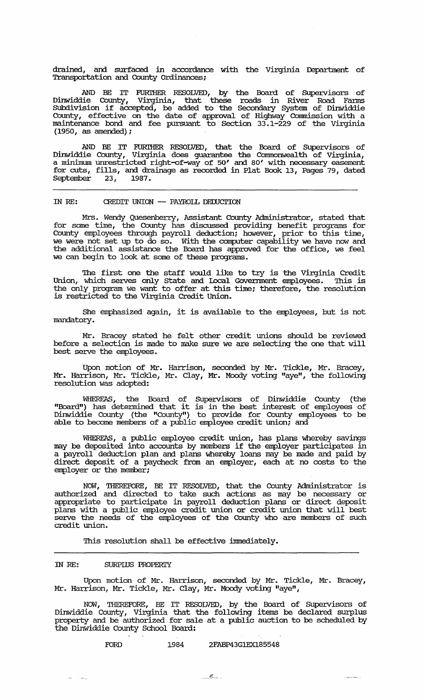drained, and surfaced in accordance with the Virginia Department of Transportation and County ordinances;

AND BE IT FURIHER. RESOLVED, by the Board of SUpervisors of Dinwiddie County, Virginia, that these roads in River Road Fanus SUbdivision if accepted, be added to the Secondary system of Dinwiddie County, effective on the date of approval of Highway Connnission with a maintenance bond and fee pursuant to Section 33.1-229 of the Virginia (1950, as amended);

AND BE IT FURIHER. RESOLVED, that the Board of SUpervisors of Dinwiddie County, Virginia does guarantee the Commonwealth of Virginia, a minimum unrestricted right-of-way of 50' and 80' with necessary easement for cuts, fills, and drainage as recorded in Plat Book 13, Pages 79, dated September 23, 1987.

## IN RE: CREDIT UNION **--** PAYROLL DEOOCI'ION

Mrs. Wendy Quesenbeny, Assistant County Administrator, stated that for some time, the County has discussed providing benefit programs for County employees through payroll deduction; however, prior to this time, we were not set up to do so. With the computer capability we have now and the additional assistance the Board has approved for the office, we feel we can begin to look at some of these programs.

The first one the staff would like to try is the Virginia Credit Union, which serves only State and Iocal Government employees. This is the only program we want to offer at this time; therefore, the resolution and only program we want to office the different to the Virginia Credit Union.

She emphasized again, it is available to the employees, but is not mandatory.

Mr. Bracey stated he felt other credit unions should be reviewed before a selection is made to make sure we are selecting the one that will best serve the employees.

Upon motion of Mr. Harrison, seconded by Mr. Tickle, Mr. Bracey, Mr. Harrison, Mr. Tickle, Mr. Clay, Mr. Moody voting "aye", the following resolution was adopted:

WHEREAS, the Board of SUpervisors of Dinwiddie County (the "Board") has detennined that it is in the best interest of employees of Dinwiddie County (the "County") to provide for County employees to be able to become members of a public employee credit union; and

WHEREAS, a public employee credit union, has plans whereby savings may be deposited into accounts by members if the employer participates in a payroll deduction plan and plans whereby loans may be made and paid by direct deposit of a paycheck from an employer, each at no costs to the employer or the member;

NOW, THEREFORE, BE IT RESOLVED, that the County Administrator is authorized and directed to take such actions as may be necessary or appropriate to participate in payroll deduction plans or direct deposit plans with a public employee credit union or credit union that will best serve the needs of the employees of the County who are members of such credit union.

This resolution shall be effective immediately.

## IN RE: SURPIUS PROPERTY

Upon motion of Mr. Harrison, seconded by Mr. Tickle, Mr. Bracey, Mr. Harrison, Mr. Tickle, Mr. Clay, Mr. Moody voting "aye",

NOW, THEREFORE, BE IT RESOLVED, by the Board of Supervisors of  $D$ inwiddie County, Virginia that the following items be declared surplus property and be authorized for sale at a public auction to be scheduled by the Dinwiddie County School Board:

## FORD 1984 2FABP43G1EX185548

 $\frac{1}{2} \frac{1}{2} \left( \frac{1}{2} \left( \frac{1}{2} \frac{1}{2} \right) + \frac{1}{2} \left( \frac{1}{2} \frac{1}{2} \right) \right)$ 

ن سيستري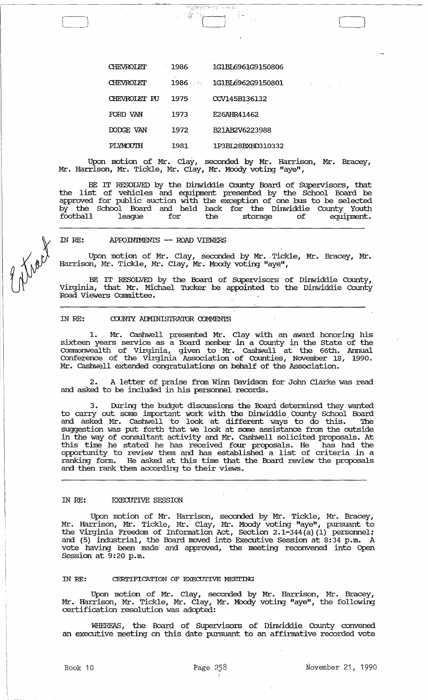| CHEVROLET    | 1986        | 1G1BL6961G9150806 |
|--------------|-------------|-------------------|
| CHEVROLET    | a P<br>1986 | 1G1BL6962G9150801 |
| CHEVROLET PU | 1975        | CCV145B136132     |
| FORD VAN     | 1973        | E26AHR41462       |
| DODGE VAN    | 1972        | B21AB2V6223988    |
| PI YMOUTH    | 1981        | 1P3BL28BXBD310332 |

Upon motion of Mr. Clay, seconded by Mr. Harrison, Mr. Bracey, Mr. Harrison, Mr. Tickle, Mr. Clay, Mr. Moody voting "aye",

BE IT RESOLVED by the Dinwiddie County Board of SUpervisors, that the list of vehicles and equipment presented by the School Board be approved for public auction with the exception of one bus to be selected by the School Board and held back for the Dinwiddie County Youth football league for the storage of equipment.

IN RE: APPOINTMENTS -- ROAD VIEWERS

Upon motion of Mr. Clay, seconded by Mr. Tickle, Mr. Bracey, Mr. Harrison, Mr. Tickle, Mr. Clay, Mr. Moody voting "aye",

BE IT RESOLVED by the Board of SUpervisors of Dinwiddie County, Virginia, that Mr. Michael Tucker be appointed to the Dinwiddie County Road Viewers Committee.

# IN RE: COUNTY ADMINISTRATOR COMMENTS

1. Mr. cashwell presented Mr. Clay with an award honoring his sixteen years service as a Board member in a County in the State of the Commonwealth of Virginia, given to Mr. cashwell at the 66th. Arumal Conference of the Virginia Association of CountieS, November 18, 1990. Mr. cashwell extended congratulations on behalf of the Association.

2. A letter of praise from winn Davidson for Jolm Clarke was read and asked to be included in his personnel records.

. , where  $\mathcal{L}_\text{c}$ During the budget discussions the Board determined they wanted to carry out some important work with the Dinwiddie County School Board and asked Mr. cashwell to look at different Ways to do this. 'Ihe suggestion was put forth that we look at some assistance from the outside in the way of consultant activity and Mr. cashwell solicited proposals. At this time he stated he has received four proposals. He has had the opportunity to review them and has established a list of criteria in a ranking fonn. He asked at this time that the Board review the proposals and then rank them according to their views.

## IN RE: EXECUTIVE SESSION

Upon motion of Mr. Harrison, seconded by Mr. Tickle, Mr. Bracey, Mr. Harrison, Mr. Tickle, Mr. Clay, Mr. Moody voting "aye", pursuant to the Virginia Freedom of Information Act, Section 2.1-344 (a) (1) personnel; and (5) industrial, the Board moved into Executive Session at 8:34 p.m. A vote having been made and approved, the meeting reconvened into Open Session at 9:20 p.m.

#### IN RE: CERTIFICATION OF EXECUTIVE MEETING

Upon motion of Mr. Clay, seconded by Mr. Harrison, Mr. Bracey, Mr. Harrison, Mr. Tickle, Mr. Clay, Mr. Moody voting "aye", the following certification resolution was adopted:

WHEREAS, the Board of SUpervisors of Dinwiddie County convened an executive meeting on this date pursuant to an affirmative recorded vote